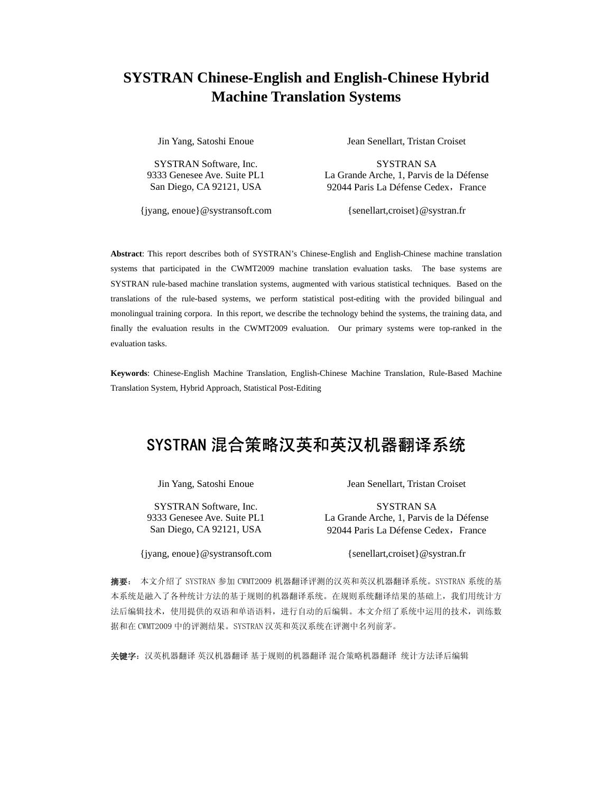# **SYSTRAN Chinese-English and English-Chinese Hybrid Machine Translation Systems**

Jin Yang, Satoshi Enoue Jean Senellart, Tristan Croiset

SYSTRAN Software, Inc. SYSTRAN SA 9333 Genesee Ave. Suite PL1 La Grande Arche, 1, Parvis de la Défense San Diego, CA 92121, USA 92044 Paris La Défense Cedex, France

{jyang, enoue}@systransoft.com {senellart,croiset}@systran.fr

**Abstract**: This report describes both of SYSTRAN's Chinese-English and English-Chinese machine translation systems that participated in the CWMT2009 machine translation evaluation tasks. The base systems are SYSTRAN rule-based machine translation systems, augmented with various statistical techniques. Based on the translations of the rule-based systems, we perform statistical post-editing with the provided bilingual and monolingual training corpora. In this report, we describe the technology behind the systems, the training data, and finally the evaluation results in the CWMT2009 evaluation. Our primary systems were top-ranked in the evaluation tasks.

**Keywords**: Chinese-English Machine Translation, English-Chinese Machine Translation, Rule-Based Machine Translation System, Hybrid Approach, Statistical Post-Editing

# SYSTRAN 混合策略汉英和英汉机器翻译系统

{jyang, enoue}@systransoft.com {senellart,croiset}@systran.fr

Jin Yang, Satoshi Enoue Jean Senellart, Tristan Croiset

SYSTRAN Software, Inc. SYSTRAN SA 9333 Genesee Ave. Suite PL1 La Grande Arche, 1, Parvis de la Défense San Diego, CA 92121, USA 92044 Paris La Défense Cedex, France

摘要: 本文介绍了 SYSTRAN 参加 CWMT2009 机器翻译评测的汉英和英汉机器翻译系统。SYSTRAN 系统的基 本系统是融入了各种统计方法的基于规则的机器翻译系统。在规则系统翻译结果的基础上,我们用统计方 法后编辑技术,使用提供的双语和单语语料,进行自动的后编辑。本文介绍了系统中运用的技术,训练数 据和在 CWMT2009 中的评测结果。SYSTRAN 汉英和英汉系统在评测中名列前茅。

关键字:汉英机器翻译 英汉机器翻译 基于规则的机器翻译 混合策略机器翻译 统计方法译后编辑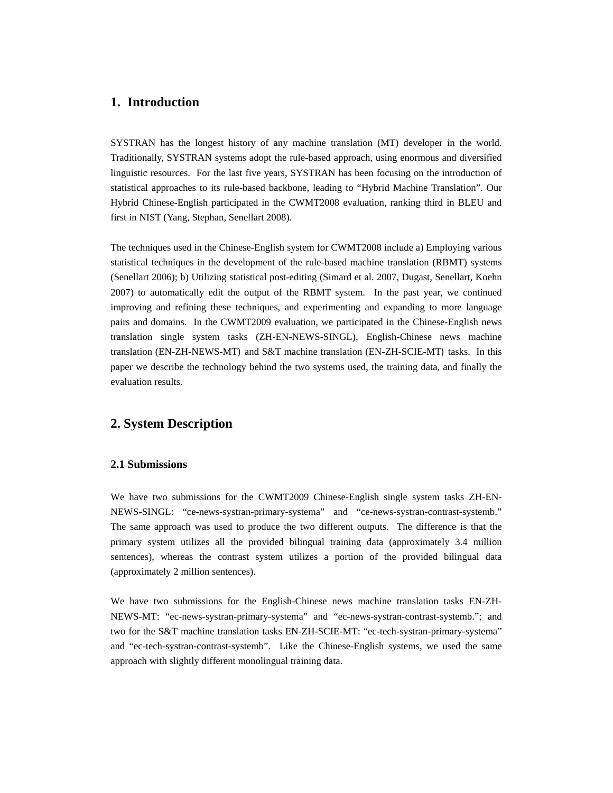# **1. Introduction**

SYSTRAN has the longest history of any machine translation (MT) developer in the world. Traditionally, SYSTRAN systems adopt the rule-based approach, using enormous and diversified linguistic resources. For the last five years, SYSTRAN has been focusing on the introduction of statistical approaches to its rule-based backbone, leading to "Hybrid Machine Translation". Our Hybrid Chinese-English participated in the CWMT2008 evaluation, ranking third in BLEU and first in NIST (Yang, Stephan, Senellart 2008).

The techniques used in the Chinese-English system for CWMT2008 include a) Employing various statistical techniques in the development of the rule-based machine translation (RBMT) systems (Senellart 2006); b) Utilizing statistical post-editing (Simard et al. 2007, Dugast, Senellart, Koehn 2007) to automatically edit the output of the RBMT system. In the past year, we continued improving and refining these techniques, and experimenting and expanding to more language pairs and domains. In the CWMT2009 evaluation, we participated in the Chinese-English news translation single system tasks (ZH-EN-NEWS-SINGL), English-Chinese news machine translation (EN-ZH-NEWS-MT) and S&T machine translation (EN-ZH-SCIE-MT) tasks. In this paper we describe the technology behind the two systems used, the training data, and finally the evaluation results.

# **2. System Description**

### **2.1 Submissions**

We have two submissions for the CWMT2009 Chinese-English single system tasks ZH-EN-NEWS-SINGL: "ce-news-systran-primary-systema" and "ce-news-systran-contrast-systemb." The same approach was used to produce the two different outputs. The difference is that the primary system utilizes all the provided bilingual training data (approximately 3.4 million sentences), whereas the contrast system utilizes a portion of the provided bilingual data (approximately 2 million sentences).

We have two submissions for the English-Chinese news machine translation tasks EN-ZH-NEWS-MT: "ec-news-systran-primary-systema" and "ec-news-systran-contrast-systemb."; and two for the S&T machine translation tasks EN-ZH-SCIE-MT: "ec-tech-systran-primary-systema" and "ec-tech-systran-contrast-systemb". Like the Chinese-English systems, we used the same approach with slightly different monolingual training data.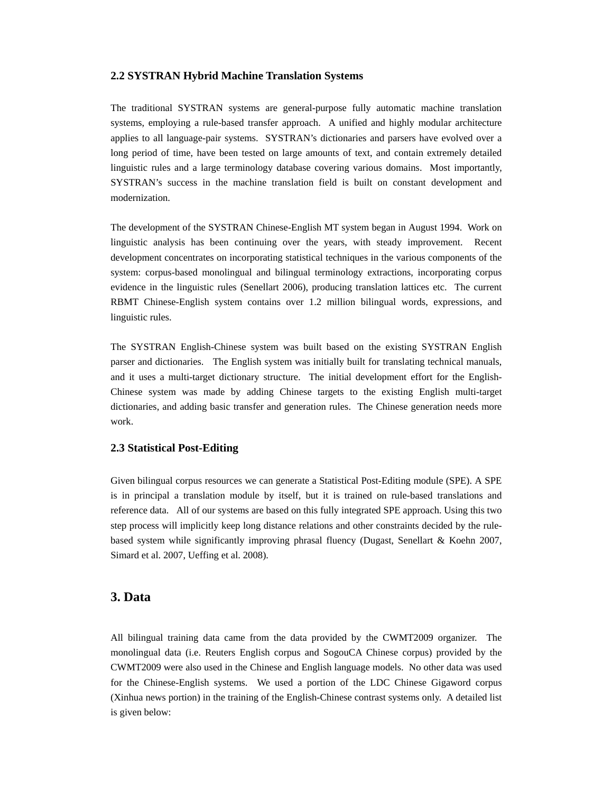#### **2.2 SYSTRAN Hybrid Machine Translation Systems**

The traditional SYSTRAN systems are general-purpose fully automatic machine translation systems, employing a rule-based transfer approach. A unified and highly modular architecture applies to all language-pair systems. SYSTRAN's dictionaries and parsers have evolved over a long period of time, have been tested on large amounts of text, and contain extremely detailed linguistic rules and a large terminology database covering various domains. Most importantly, SYSTRAN's success in the machine translation field is built on constant development and modernization.

The development of the SYSTRAN Chinese-English MT system began in August 1994. Work on linguistic analysis has been continuing over the years, with steady improvement. Recent development concentrates on incorporating statistical techniques in the various components of the system: corpus-based monolingual and bilingual terminology extractions, incorporating corpus evidence in the linguistic rules (Senellart 2006), producing translation lattices etc. The current RBMT Chinese-English system contains over 1.2 million bilingual words, expressions, and linguistic rules.

The SYSTRAN English-Chinese system was built based on the existing SYSTRAN English parser and dictionaries. The English system was initially built for translating technical manuals, and it uses a multi-target dictionary structure. The initial development effort for the English-Chinese system was made by adding Chinese targets to the existing English multi-target dictionaries, and adding basic transfer and generation rules. The Chinese generation needs more work.

#### **2.3 Statistical Post-Editing**

Given bilingual corpus resources we can generate a Statistical Post-Editing module (SPE). A SPE is in principal a translation module by itself, but it is trained on rule-based translations and reference data. All of our systems are based on this fully integrated SPE approach. Using this two step process will implicitly keep long distance relations and other constraints decided by the rulebased system while significantly improving phrasal fluency (Dugast, Senellart & Koehn 2007, Simard et al. 2007, Ueffing et al. 2008).

## **3. Data**

All bilingual training data came from the data provided by the CWMT2009 organizer. The monolingual data (i.e. Reuters English corpus and SogouCA Chinese corpus) provided by the CWMT2009 were also used in the Chinese and English language models. No other data was used for the Chinese-English systems. We used a portion of the LDC Chinese Gigaword corpus (Xinhua news portion) in the training of the English-Chinese contrast systems only. A detailed list is given below: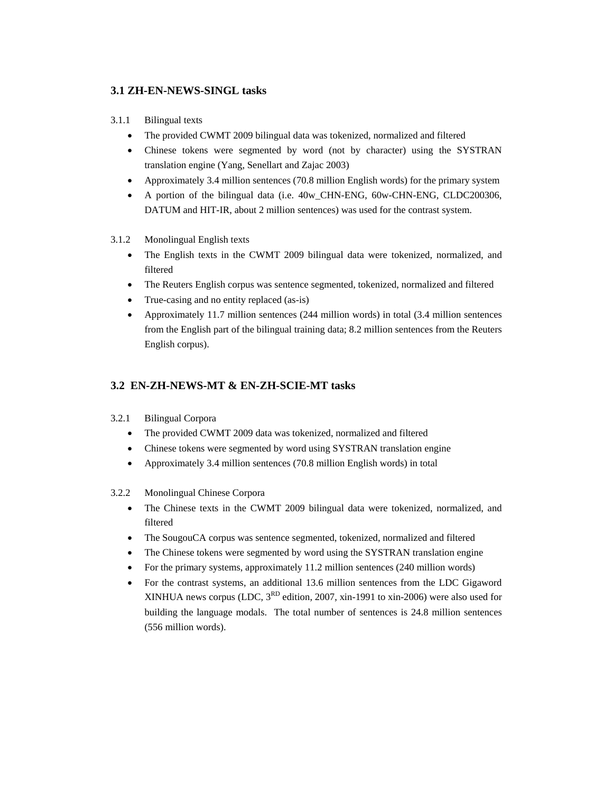# **3.1 ZH-EN-NEWS-SINGL tasks**

## 3.1.1 Bilingual texts

- The provided CWMT 2009 bilingual data was tokenized, normalized and filtered
- Chinese tokens were segmented by word (not by character) using the SYSTRAN translation engine (Yang, Senellart and Zajac 2003)
- Approximately 3.4 million sentences (70.8 million English words) for the primary system
- A portion of the bilingual data (i.e. 40w CHN-ENG, 60w-CHN-ENG, CLDC200306, DATUM and HIT-IR, about 2 million sentences) was used for the contrast system.
- 3.1.2 Monolingual English texts
	- The English texts in the CWMT 2009 bilingual data were tokenized, normalized, and filtered
	- The Reuters English corpus was sentence segmented, tokenized, normalized and filtered
	- True-casing and no entity replaced (as-is)
	- Approximately 11.7 million sentences (244 million words) in total (3.4 million sentences from the English part of the bilingual training data; 8.2 million sentences from the Reuters English corpus).

# **3.2 EN-ZH-NEWS-MT & EN-ZH-SCIE-MT tasks**

- 3.2.1 Bilingual Corpora
	- The provided CWMT 2009 data was tokenized, normalized and filtered
	- Chinese tokens were segmented by word using SYSTRAN translation engine
	- Approximately 3.4 million sentences (70.8 million English words) in total

#### 3.2.2 Monolingual Chinese Corpora

- The Chinese texts in the CWMT 2009 bilingual data were tokenized, normalized, and filtered
- The SougouCA corpus was sentence segmented, tokenized, normalized and filtered
- The Chinese tokens were segmented by word using the SYSTRAN translation engine
- For the primary systems, approximately 11.2 million sentences (240 million words)
- For the contrast systems, an additional 13.6 million sentences from the LDC Gigaword XINHUA news corpus (LDC,  $3^{RD}$  edition, 2007, xin-1991 to xin-2006) were also used for building the language modals. The total number of sentences is 24.8 million sentences (556 million words).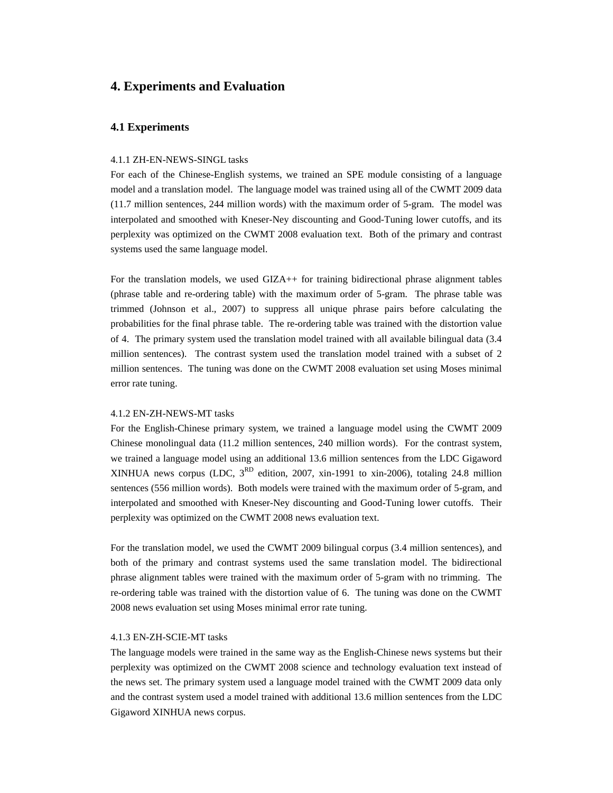# **4. Experiments and Evaluation**

## **4.1 Experiments**

#### 4.1.1 ZH-EN-NEWS-SINGL tasks

For each of the Chinese-English systems, we trained an SPE module consisting of a language model and a translation model. The language model was trained using all of the CWMT 2009 data (11.7 million sentences, 244 million words) with the maximum order of 5-gram. The model was interpolated and smoothed with Kneser-Ney discounting and Good-Tuning lower cutoffs, and its perplexity was optimized on the CWMT 2008 evaluation text. Both of the primary and contrast systems used the same language model.

For the translation models, we used GIZA++ for training bidirectional phrase alignment tables (phrase table and re-ordering table) with the maximum order of 5-gram. The phrase table was trimmed (Johnson et al., 2007) to suppress all unique phrase pairs before calculating the probabilities for the final phrase table. The re-ordering table was trained with the distortion value of 4. The primary system used the translation model trained with all available bilingual data (3.4 million sentences). The contrast system used the translation model trained with a subset of 2 million sentences. The tuning was done on the CWMT 2008 evaluation set using Moses minimal error rate tuning.

#### 4.1.2 EN-ZH-NEWS-MT tasks

For the English-Chinese primary system, we trained a language model using the CWMT 2009 Chinese monolingual data (11.2 million sentences, 240 million words). For the contrast system, we trained a language model using an additional 13.6 million sentences from the LDC Gigaword XINHUA news corpus (LDC,  $3^{RD}$  edition, 2007, xin-1991 to xin-2006), totaling 24.8 million sentences (556 million words). Both models were trained with the maximum order of 5-gram, and interpolated and smoothed with Kneser-Ney discounting and Good-Tuning lower cutoffs. Their perplexity was optimized on the CWMT 2008 news evaluation text.

For the translation model, we used the CWMT 2009 bilingual corpus (3.4 million sentences), and both of the primary and contrast systems used the same translation model. The bidirectional phrase alignment tables were trained with the maximum order of 5-gram with no trimming. The re-ordering table was trained with the distortion value of 6. The tuning was done on the CWMT 2008 news evaluation set using Moses minimal error rate tuning.

#### 4.1.3 EN-ZH-SCIE-MT tasks

The language models were trained in the same way as the English-Chinese news systems but their perplexity was optimized on the CWMT 2008 science and technology evaluation text instead of the news set. The primary system used a language model trained with the CWMT 2009 data only and the contrast system used a model trained with additional 13.6 million sentences from the LDC Gigaword XINHUA news corpus.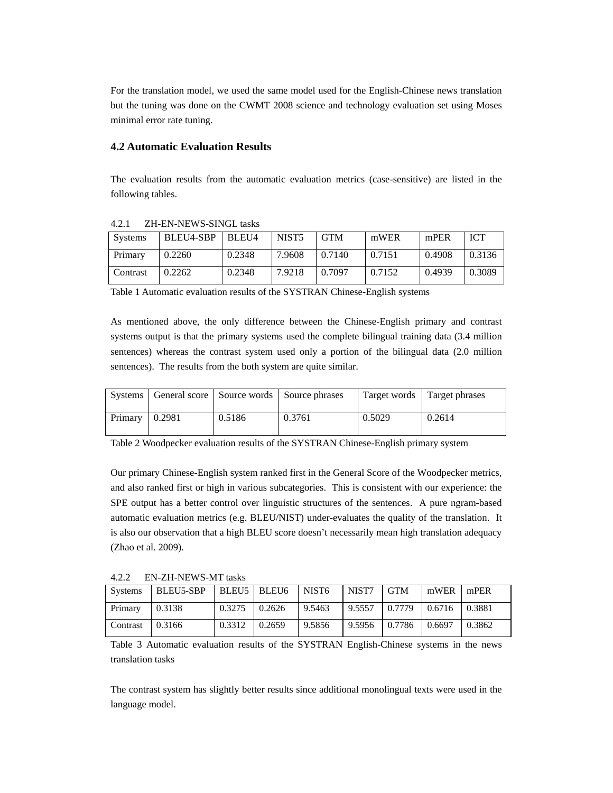For the translation model, we used the same model used for the English-Chinese news translation but the tuning was done on the CWMT 2008 science and technology evaluation set using Moses minimal error rate tuning.

## **4.2 Automatic Evaluation Results**

The evaluation results from the automatic evaluation metrics (case-sensitive) are listed in the following tables.

| Systems  | BLEU4-SBP | BLEU4  | NIST <sub>5</sub> | <b>GTM</b> | mWER   | mPER   | <b>ICT</b> |
|----------|-----------|--------|-------------------|------------|--------|--------|------------|
| Primary  | 0.2260    | 0.2348 | 7.9608            | 0.7140     | 0.7151 | 0.4908 | 0.3136     |
| Contrast | 0.2262    | 0.2348 | 7.9218            | 0.7097     | 0.7152 | 0.4939 | 0.3089     |

#### 4.2.1 ZH-EN-NEWS-SINGL tasks

Table 1 Automatic evaluation results of the SYSTRAN Chinese-English systems

As mentioned above, the only difference between the Chinese-English primary and contrast systems output is that the primary systems used the complete bilingual training data (3.4 million sentences) whereas the contrast system used only a portion of the bilingual data (2.0 million sentences). The results from the both system are quite similar.

|         |               |        | Systems   General score   Source words   Source phrases | Target words | Target phrases |
|---------|---------------|--------|---------------------------------------------------------|--------------|----------------|
| Primary | $\mid 0.2981$ | 0.5186 | 0.3761                                                  | 0.5029       | 0.2614         |

Table 2 Woodpecker evaluation results of the SYSTRAN Chinese-English primary system

Our primary Chinese-English system ranked first in the General Score of the Woodpecker metrics, and also ranked first or high in various subcategories. This is consistent with our experience: the SPE output has a better control over linguistic structures of the sentences. A pure ngram-based automatic evaluation metrics (e.g. BLEU/NIST) under-evaluates the quality of the translation. It is also our observation that a high BLEU score doesn't necessarily mean high translation adequacy (Zhao et al. 2009).

4.2.2 EN-ZH-NEWS-MT tasks

| <b>Systems</b> | BLEU5-SBP | $BLEU5$ BLEU6 |        | NIST <sub>6</sub> | NIST7  | <b>GTM</b> | mWER   | mPER   |
|----------------|-----------|---------------|--------|-------------------|--------|------------|--------|--------|
| Primary        | 0.3138    | 0.3275        | 0.2626 | 9.5463            | 9.5557 | 0.7779     | 0.6716 | 0.3881 |
| Contrast       | 0.3166    | 0.3312        | 0.2659 | 9.5856            | 9.5956 | 0.7786     | 0.6697 | 0.3862 |

Table 3 Automatic evaluation results of the SYSTRAN English-Chinese systems in the news translation tasks

The contrast system has slightly better results since additional monolingual texts were used in the language model.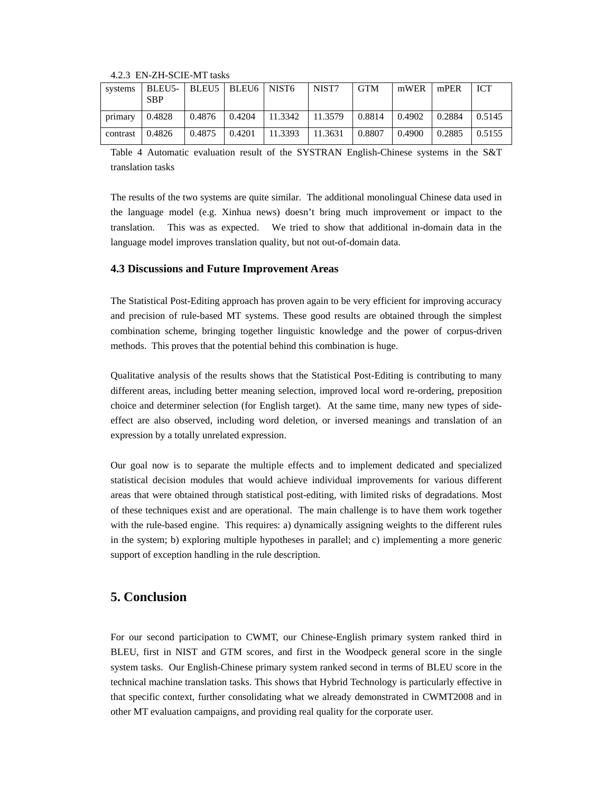|                         | systems   BLEU5-   BLEU5   BLEU6   NIST6<br><b>SBP</b> |        |                                                               | I NIST7 | <b>GTM</b>      | $mWER$   $mPER$ |                    | <b>ICT</b> |
|-------------------------|--------------------------------------------------------|--------|---------------------------------------------------------------|---------|-----------------|-----------------|--------------------|------------|
| $\text{primary}$ 0.4828 |                                                        |        | $\vert 0.4876 \vert 0.4204 \vert 11.3342 \vert 11.3579 \vert$ |         | $0.8814$ 0.4902 |                 | 0.2884             | 10.5145    |
| $\arctan 0.4826$        |                                                        | 0.4875 | $0.4201$   11.3393   11.3631                                  |         | 0.8807          | 0.4900          | $\mid 0.2885 \mid$ | 10.5155    |

4.2.3 EN-ZH-SCIE-MT tasks

Table 4 Automatic evaluation result of the SYSTRAN English-Chinese systems in the S&T translation tasks

The results of the two systems are quite similar. The additional monolingual Chinese data used in the language model (e.g. Xinhua news) doesn't bring much improvement or impact to the translation. This was as expected. We tried to show that additional in-domain data in the language model improves translation quality, but not out-of-domain data.

## **4.3 Discussions and Future Improvement Areas**

The Statistical Post-Editing approach has proven again to be very efficient for improving accuracy and precision of rule-based MT systems. These good results are obtained through the simplest combination scheme, bringing together linguistic knowledge and the power of corpus-driven methods. This proves that the potential behind this combination is huge.

Qualitative analysis of the results shows that the Statistical Post-Editing is contributing to many different areas, including better meaning selection, improved local word re-ordering, preposition choice and determiner selection (for English target). At the same time, many new types of sideeffect are also observed, including word deletion, or inversed meanings and translation of an expression by a totally unrelated expression.

Our goal now is to separate the multiple effects and to implement dedicated and specialized statistical decision modules that would achieve individual improvements for various different areas that were obtained through statistical post-editing, with limited risks of degradations. Most of these techniques exist and are operational. The main challenge is to have them work together with the rule-based engine. This requires: a) dynamically assigning weights to the different rules in the system; b) exploring multiple hypotheses in parallel; and c) implementing a more generic support of exception handling in the rule description.

# **5. Conclusion**

For our second participation to CWMT, our Chinese-English primary system ranked third in BLEU, first in NIST and GTM scores, and first in the Woodpeck general score in the single system tasks. Our English-Chinese primary system ranked second in terms of BLEU score in the technical machine translation tasks. This shows that Hybrid Technology is particularly effective in that specific context, further consolidating what we already demonstrated in CWMT2008 and in other MT evaluation campaigns, and providing real quality for the corporate user.